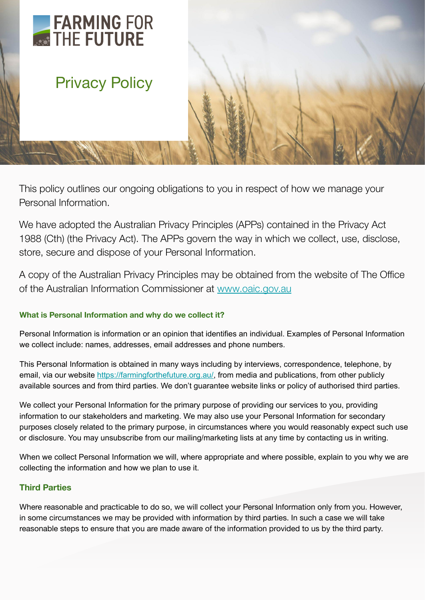# FARMING FOR

## Privacy Policy

This policy outlines our ongoing obligations to you in respect of how we manage your Personal Information.

We have adopted the Australian Privacy Principles (APPs) contained in the Privacy Act 1988 (Cth) (the Privacy Act). The APPs govern the way in which we collect, use, disclose, store, secure and dispose of your Personal Information.

A copy of the Australian Privacy Principles may be obtained from the website of The Office of the Australian Information Commissioner at [www.oaic.gov.au](https://www.oaic.gov.au/)

#### **What is Personal Information and why do we collect it?**

Personal Information is information or an opinion that identifies an individual. Examples of Personal Information we collect include: names, addresses, email addresses and phone numbers.

This Personal Information is obtained in many ways including by interviews, correspondence, telephone, by email, via our website<https://farmingforthefuture.org.au/>, from media and publications, from other publicly available sources and from third parties. We don't guarantee website links or policy of authorised third parties.

We collect your Personal Information for the primary purpose of providing our services to you, providing information to our stakeholders and marketing. We may also use your Personal Information for secondary purposes closely related to the primary purpose, in circumstances where you would reasonably expect such use or disclosure. You may unsubscribe from our mailing/marketing lists at any time by contacting us in writing.

When we collect Personal Information we will, where appropriate and where possible, explain to you why we are collecting the information and how we plan to use it.

#### **Third Parties**

Where reasonable and practicable to do so, we will collect your Personal Information only from you. However, in some circumstances we may be provided with information by third parties. In such a case we will take reasonable steps to ensure that you are made aware of the information provided to us by the third party.